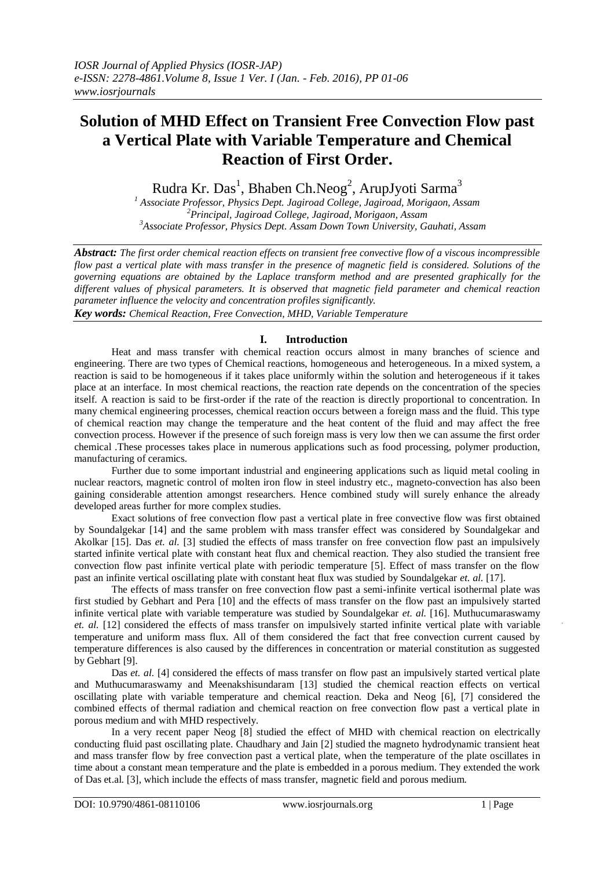# **Solution of MHD Effect on Transient Free Convection Flow past a Vertical Plate with Variable Temperature and Chemical Reaction of First Order.**

Rudra Kr. Das<sup>1</sup>, Bhaben Ch.Neog<sup>2</sup>, ArupJyoti Sarma<sup>3</sup>

*1 Associate Professor, Physics Dept. Jagiroad College, Jagiroad, Morigaon, Assam 2 Principal, Jagiroad College, Jagiroad, Morigaon, Assam 3 Associate Professor, Physics Dept. Assam Down Town University, Gauhati, Assam*

*Abstract: The first order chemical reaction effects on transient free convective flow of a viscous incompressible flow past a vertical plate with mass transfer in the presence of magnetic field is considered. Solutions of the governing equations are obtained by the Laplace transform method and are presented graphically for the different values of physical parameters. It is observed that magnetic field parameter and chemical reaction parameter influence the velocity and concentration profiles significantly.*

*Key words: Chemical Reaction, Free Convection, MHD, Variable Temperature*

## **I. Introduction**

Heat and mass transfer with chemical reaction occurs almost in many branches of science and engineering. There are two types of Chemical reactions, homogeneous and heterogeneous. In a mixed system, a reaction is said to be homogeneous if it takes place uniformly within the solution and heterogeneous if it takes place at an interface. In most chemical reactions, the reaction rate depends on the concentration of the species itself. A reaction is said to be first-order if the rate of the reaction is directly proportional to concentration. In many chemical engineering processes, chemical reaction occurs between a foreign mass and the fluid. This type of chemical reaction may change the temperature and the heat content of the fluid and may affect the free convection process. However if the presence of such foreign mass is very low then we can assume the first order chemical .These processes takes place in numerous applications such as food processing, polymer production, manufacturing of ceramics.

Further due to some important industrial and engineering applications such as liquid metal cooling in nuclear reactors, magnetic control of molten iron flow in steel industry etc., magneto-convection has also been gaining considerable attention amongst researchers. Hence combined study will surely enhance the already developed areas further for more complex studies.

Exact solutions of free convection flow past a vertical plate in free convective flow was first obtained by Soundalgekar [14] and the same problem with mass transfer effect was considered by Soundalgekar and Akolkar [15]. Das *et. al.* [3] studied the effects of mass transfer on free convection flow past an impulsively started infinite vertical plate with constant heat flux and chemical reaction. They also studied the transient free convection flow past infinite vertical plate with periodic temperature [5]. Effect of mass transfer on the flow past an infinite vertical oscillating plate with constant heat flux was studied by Soundalgekar *et. al.* [17].

The effects of mass transfer on free convection flow past a semi-infinite vertical isothermal plate was first studied by Gebhart and Pera [10] and the effects of mass transfer on the flow past an impulsively started infinite vertical plate with variable temperature was studied by Soundalgekar *et. al.* [16]. Muthucumaraswamy *et. al.* [12] considered the effects of mass transfer on impulsively started infinite vertical plate with variable temperature and uniform mass flux. All of them considered the fact that free convection current caused by temperature differences is also caused by the differences in concentration or material constitution as suggested by Gebhart [9].

Das *et. al.* [4] considered the effects of mass transfer on flow past an impulsively started vertical plate and Muthucumaraswamy and Meenakshisundaram [13] studied the chemical reaction effects on vertical oscillating plate with variable temperature and chemical reaction. Deka and Neog [6], [7] considered the combined effects of thermal radiation and chemical reaction on free convection flow past a vertical plate in porous medium and with MHD respectively.

In a very recent paper Neog [8] studied the effect of MHD with chemical reaction on electrically conducting fluid past oscillating plate. Chaudhary and Jain [2] studied the magneto hydrodynamic transient heat and mass transfer flow by free convection past a vertical plate, when the temperature of the plate oscillates in time about a constant mean temperature and the plate is embedded in a porous medium. They extended the work of Das et.al. [3], which include the effects of mass transfer, magnetic field and porous medium.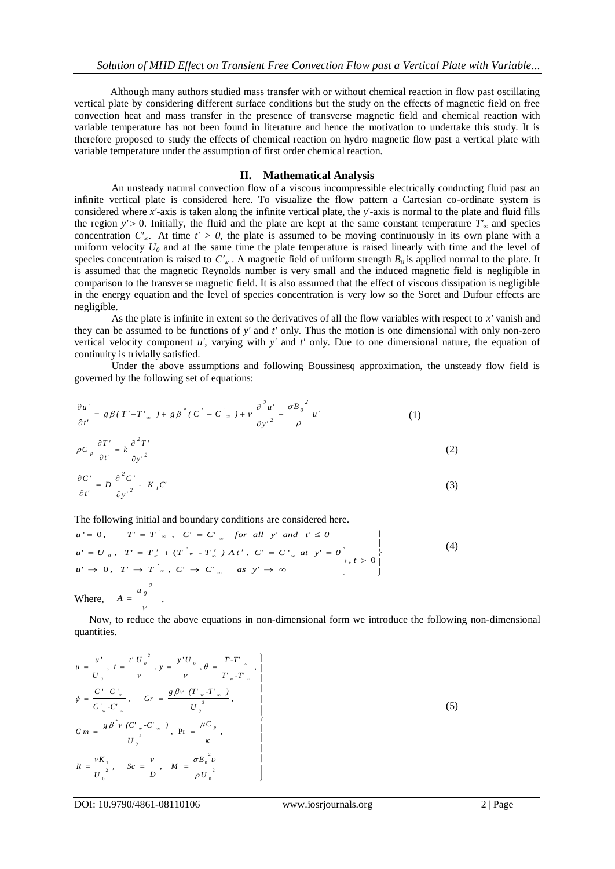Although many authors studied mass transfer with or without chemical reaction in flow past oscillating vertical plate by considering different surface conditions but the study on the effects of magnetic field on free convection heat and mass transfer in the presence of transverse magnetic field and chemical reaction with variable temperature has not been found in literature and hence the motivation to undertake this study. It is therefore proposed to study the effects of chemical reaction on hydro magnetic flow past a vertical plate with variable temperature under the assumption of first order chemical reaction.

## **II. Mathematical Analysis**

An unsteady natural convection flow of a viscous incompressible electrically conducting fluid past an infinite vertical plate is considered here. To visualize the flow pattern a Cartesian co-ordinate system is considered where *x'*-axis is taken along the infinite vertical plate, the *y*'-axis is normal to the plate and fluid fills the region  $y' \ge 0$ . Initially, the fluid and the plate are kept at the same constant temperature  $T'_{\infty}$  and species concentration  $C'_{\infty}$ . At time  $t' > 0$ , the plate is assumed to be moving continuously in its own plane with a uniform velocity  $U_0$  and at the same time the plate temperature is raised linearly with time and the level of species concentration is raised to  $C'_{w}$ . A magnetic field of uniform strength  $B_0$  is applied normal to the plate. It is assumed that the magnetic Reynolds number is very small and the induced magnetic field is negligible in comparison to the transverse magnetic field. It is also assumed that the effect of viscous dissipation is negligible in the energy equation and the level of species concentration is very low so the Soret and Dufour effects are negligible.

As the plate is infinite in extent so the derivatives of all the flow variables with respect to *x'* vanish and they can be assumed to be functions of *y'* and *t'* only. Thus the motion is one dimensional with only non-zero vertical velocity component *u'*, varying with *y'* and *t'* only. Due to one dimensional nature, the equation of continuity is trivially satisfied.

Under the above assumptions and following Boussinesq approximation, the unsteady flow field is governed by the following set of equations:

$$
\frac{\partial u'}{\partial t'} = g\beta(T'-T'_{\infty}) + g\beta^*(C'-C'_{\infty}) + \nu \frac{\partial^2 u'}{\partial {y'}^2} - \frac{\sigma B_0^2}{\rho} u' \tag{1}
$$

$$
\rho C_p \frac{\partial T'}{\partial t'} = k \frac{\partial^2 T'}{\partial y'^2}
$$
 (2)

$$
\frac{\partial C'}{\partial t'} = D \frac{\partial^2 C'}{\partial {y'}^2} \cdot K_I C'
$$
 (3)

The following initial and boundary conditions are considered here.

$$
u' = 0, \qquad T' = T'_{\infty}, \quad C' = C'_{\infty} \quad \text{for all } y' \text{ and } t' \le 0
$$
\n
$$
u' = U_0, \quad T' = T'_{\infty} + (T'_{w} - T'_{\infty}) \land t', \quad C' = C'_{w} \text{ at } y' = 0
$$
\n
$$
u' \to 0, \quad T' \to T'_{\infty}, \quad C' \to C'_{\infty} \quad \text{as } y' \to \infty
$$
\n
$$
\text{Where, } A = \frac{u_0^2}{v}.
$$
\n
$$
(4)
$$

Now, to reduce the above equations in non-dimensional form we introduce the following non-dimensional quantities.

$$
u = \frac{u'}{U_0}, t = \frac{t' U_0^2}{v}, y = \frac{y' U_0}{v}, \theta = \frac{T' \cdot T'_{\infty}}{T'_{w} \cdot T'_{\infty}},
$$
  
\n
$$
\phi = \frac{C' - C'_{\infty}}{C'_{w} \cdot C'_{\infty}}, \quad Gr = \frac{g \beta v (T'_{w} \cdot T'_{\infty})}{U_0^3},
$$
  
\n
$$
G m = \frac{g \beta^* v (C'_{w} \cdot C'_{\infty})}{U_0^3}, \quad Pr = \frac{\mu C_p}{\kappa},
$$
  
\n
$$
R = \frac{v K_1}{U_0^2}, \quad Sc = \frac{v}{D}, \quad M = \frac{\sigma B_0^2 v}{\rho U_0^2}
$$
  
\n(5)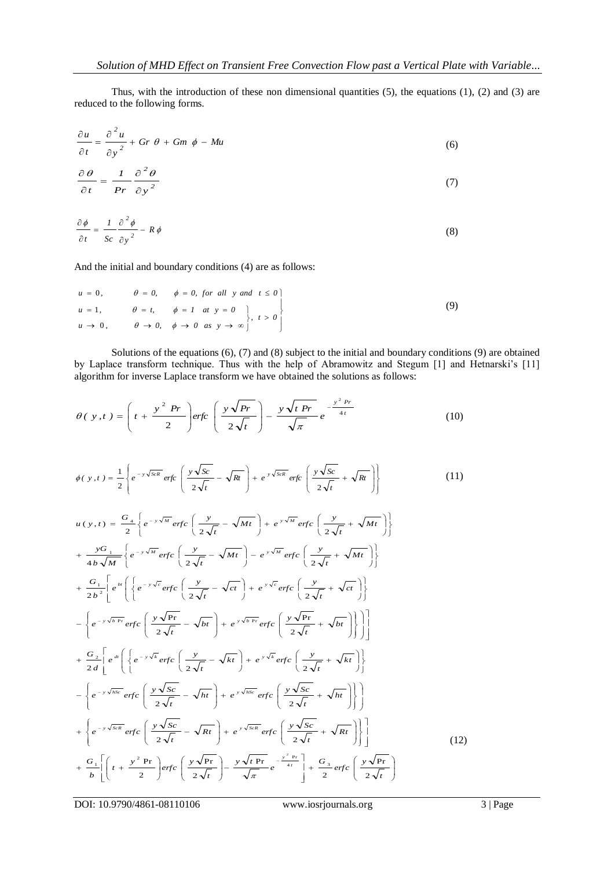Thus, with the introduction of these non dimensional quantities  $(5)$ , the equations  $(1)$ ,  $(2)$  and  $(3)$  are reduced to the following forms.

$$
\frac{\partial u}{\partial t} = \frac{\partial^2 u}{\partial y^2} + Gr \theta + Gm \phi - Mu \tag{6}
$$

$$
\frac{\partial \theta}{\partial t} = \frac{1}{Pr} \frac{\partial^2 \theta}{\partial y^2}
$$
 (7)

$$
\frac{\partial \phi}{\partial t} = \frac{1}{Sc} \frac{\partial^2 \phi}{\partial y^2} - R \phi
$$
 (8)

And the initial and boundary conditions (4) are as follows:

$$
u = 0, \qquad \theta = 0, \qquad \phi = 0, \text{ for all } y \text{ and } t \le 0
$$
  
\n
$$
u = 1, \qquad \theta = t, \qquad \phi = 1 \quad at \quad y = 0
$$
  
\n
$$
u \to 0, \qquad \theta \to 0, \qquad \phi \to 0 \quad as \quad y \to \infty
$$
  
\n(9)

Solutions of the equations (6), (7) and (8) subject to the initial and boundary conditions (9) are obtained by Laplace transform technique. Thus with the help of Abramowitz and Stegum [1] and Hetnarski's [11] algorithm for inverse Laplace transform we have obtained the solutions as follows:

$$
\theta(\ y, t) = \left( t + \frac{y^2 \ Pr}{2} \right) erfc \left( \frac{y \sqrt{Pr}}{2 \sqrt{t}} \right) - \frac{y \sqrt{t Pr}}{\sqrt{\pi}} e^{-\frac{y^2 Pr}{4t}} \tag{10}
$$

$$
\phi(y,t) = \frac{1}{2} \left\{ e^{-y\sqrt{ScR}} \, erfc\left(\frac{y\sqrt{Sc}}{2\sqrt{t}} - \sqrt{Rt}\right) + e^{y\sqrt{ScR}} \, erfc\left(\frac{y\sqrt{Sc}}{2\sqrt{t}} + \sqrt{Rt}\right) \right\} \tag{11}
$$

$$
u(y,t) = \frac{G_4}{2} \left\{ e^{-y\sqrt{M}} erfc\left(\frac{y}{2\sqrt{t}} - \sqrt{Mt}\right) + e^{y\sqrt{M}} erfc\left(\frac{y}{2\sqrt{t}} + \sqrt{Mt}\right) \right\}
$$
  
+ 
$$
\frac{yG_1}{4b\sqrt{M}} \left\{ e^{-y\sqrt{M}} erfc\left(\frac{y}{2\sqrt{t}} - \sqrt{Mt}\right) - e^{y\sqrt{M}} erfc\left(\frac{y}{2\sqrt{t}} + \sqrt{Mt}\right) \right\}
$$
  
+ 
$$
\frac{G_1}{2b^2} \left[ e^{i\omega} \left( \left\{ e^{-y\sqrt{c}} erfc\left(\frac{y}{2\sqrt{t}} - \sqrt{ct}\right) + e^{y\sqrt{c}} erfc\left(\frac{y}{2\sqrt{t}} + \sqrt{ct}\right) \right\} \right]
$$
  
- 
$$
\left\{ e^{-y\sqrt{b\text{ Pr}}} erfc\left(\frac{y\sqrt{\text{Pr}}}{2\sqrt{t}} - \sqrt{bt}\right) + e^{y\sqrt{b\text{ Pr}}} erfc\left(\frac{y\sqrt{\text{Pr}}}{2\sqrt{t}} + \sqrt{bt}\right) \right\} \right]
$$
  
+ 
$$
\frac{G_2}{2d} \left[ e^{i\omega} \left( \left\{ e^{-y\sqrt{c}} erfc\left(\frac{y}{2\sqrt{t}} - \sqrt{kt}\right) + e^{y\sqrt{c}} erfc\left(\frac{y}{2\sqrt{t}} + \sqrt{kt}\right) \right\} \right]
$$
  
- 
$$
\left\{ e^{-y\sqrt{hsc}} erfc\left(\frac{y\sqrt{Sc}}{2\sqrt{t}} - \sqrt{ht}\right) + e^{y\sqrt{hsc}} erfc\left(\frac{y\sqrt{Sc}}{2\sqrt{t}} + \sqrt{ht}\right) \right\} \right]
$$
  
+ 
$$
\left\{ e^{-y\sqrt{hsc}} erfc\left(\frac{y\sqrt{Sc}}{2\sqrt{t}} - \sqrt{Rt}\right) + e^{y\sqrt{hsc}} erfc\left(\frac{y\sqrt{Sc}}{2\sqrt{t}} + \sqrt{Rt}\right) \right\}
$$
  
+ 
$$
\frac{G_1}{b} \left[ \left( t + \frac{y^2 \text{ Pr}}{2} \right) erfc\left(\frac{y\sqrt{\text{Pr}}}{2\sqrt{t}} \right) -
$$

DOI: 10.9790/4861-08110106 www.iosrjournals.org 3 | Page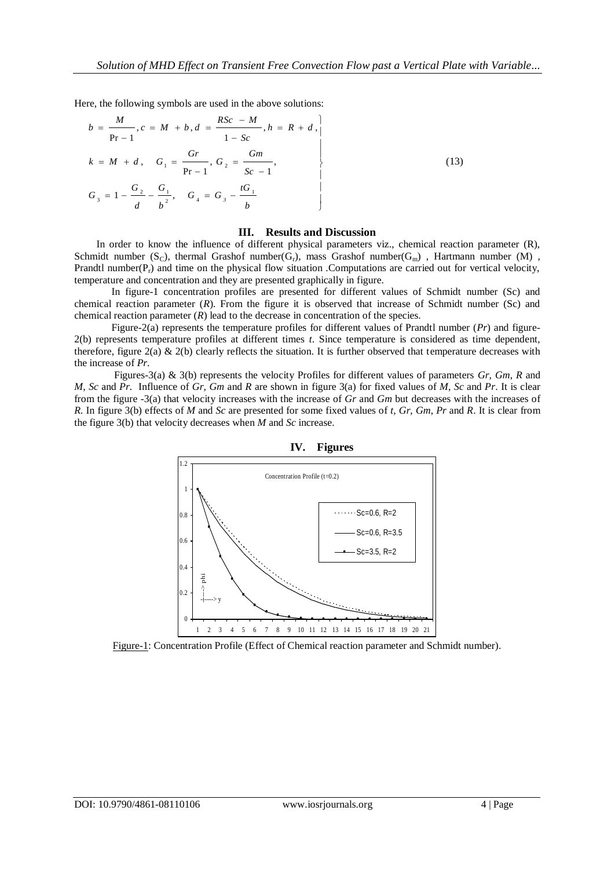Here, the following symbols are used in the above solutions:

$$
b = \frac{M}{Pr - 1}, c = M + b, d = \frac{RSc - M}{1 - Sc}, h = R + d,
$$
  
\n
$$
k = M + d, G_1 = \frac{Gr}{Pr - 1}, G_2 = \frac{Gm}{Sc - 1},
$$
  
\n
$$
G_3 = 1 - \frac{G_2}{d} - \frac{G_1}{b^2}, G_4 = G_3 - \frac{tG_1}{b}
$$
\n(13)

#### **III. Results and Discussion**

In order to know the influence of different physical parameters viz., chemical reaction parameter (R), Schmidt number  $(S_C)$ , thermal Grashof number $(G_r)$ , mass Grashof number $(G_m)$ , Hartmann number  $(M)$ , Prandtl number( $P_r$ ) and time on the physical flow situation . Computations are carried out for vertical velocity, temperature and concentration and they are presented graphically in figure.

In figure-1 concentration profiles are presented for different values of Schmidt number (Sc) and chemical reaction parameter (*R*). From the figure it is observed that increase of Schmidt number (Sc) and chemical reaction parameter  $(R)$  lead to the decrease in concentration of the species.

Figure-2(a) represents the temperature profiles for different values of Prandtl number (*Pr*) and figure-2(b) represents temperature profiles at different times *t*. Since temperature is considered as time dependent, therefore, figure 2(a)  $\&$  2(b) clearly reflects the situation. It is further observed that temperature decreases with the increase of *Pr*.

Figures-3(a) & 3(b) represents the velocity Profiles for different values of parameters *Gr, Gm*, *R* and *M*, *Sc* and *Pr*. Influence of *Gr, Gm* and *R* are shown in figure 3(a) for fixed values of *M*, *Sc* and *Pr*. It is clear from the figure -3(a) that velocity increases with the increase of *Gr* and *Gm* but decreases with the increases of *R.* In figure 3(b) effects of *M* and *Sc* are presented for some fixed values of *t, Gr, Gm*, *Pr* and *R*. It is clear from the figure 3(b) that velocity decreases when *M* and *Sc* increase.



 **IV. Figures**

Figure-1: Concentration Profile (Effect of Chemical reaction parameter and Schmidt number).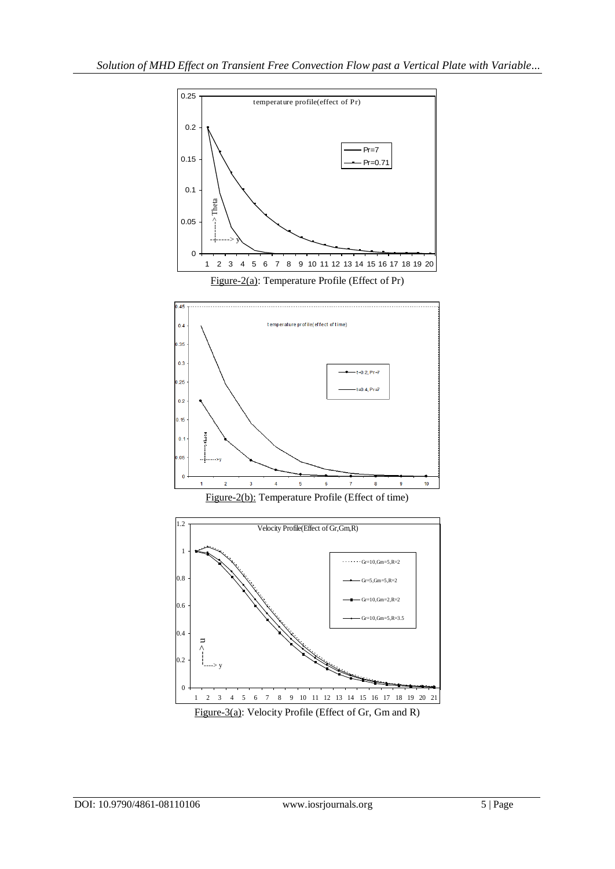

Figure-2(a): Temperature Profile (Effect of Pr)







Figure-3(a): Velocity Profile (Effect of Gr, Gm and R)